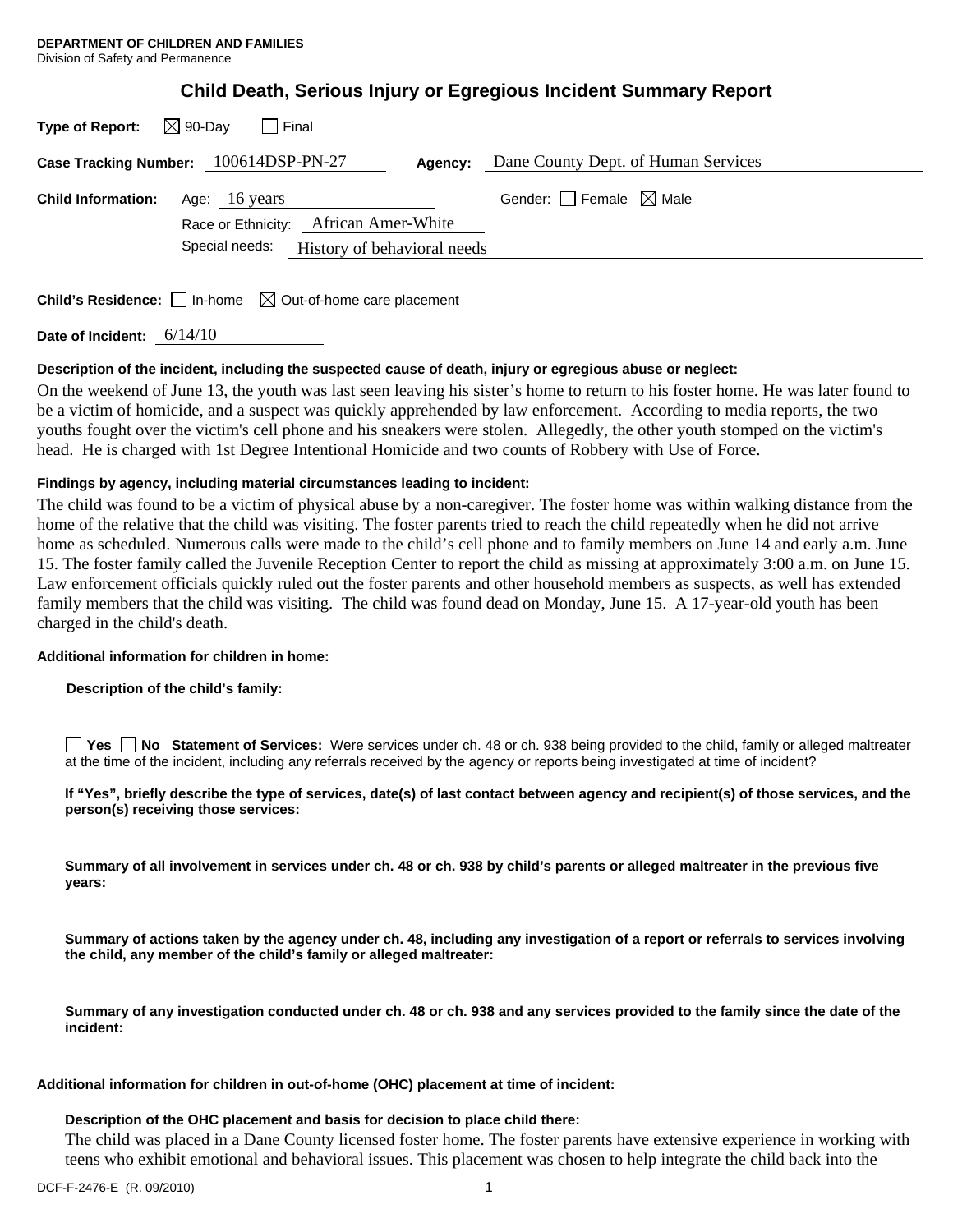| Type of Report:           | $\boxtimes$ 90-Day<br>I Final                                                   |                                        |
|---------------------------|---------------------------------------------------------------------------------|----------------------------------------|
|                           | Case Tracking Number: 100614DSP-PN-27<br>Agency:                                | Dane County Dept. of Human Services    |
| <b>Child Information:</b> | Age: 16 years<br>Race or Ethnicity: African Amer-White                          | Gender: $\Box$ Female $\boxtimes$ Male |
|                           | Special needs: History of behavioral needs                                      |                                        |
|                           | <b>Child's Residence:</b> $\Box$ In-home $\boxtimes$ Out-of-home care placement |                                        |

**Date of Incident:** 6/14/10

# **Description of the incident, including the suspected cause of death, injury or egregious abuse or neglect:**

On the weekend of June 13, the youth was last seen leaving his sister's home to return to his foster home. He was later found to be a victim of homicide, and a suspect was quickly apprehended by law enforcement. According to media reports, the two youths fought over the victim's cell phone and his sneakers were stolen. Allegedly, the other youth stomped on the victim's head. He is charged with 1st Degree Intentional Homicide and two counts of Robbery with Use of Force.

# **Findings by agency, including material circumstances leading to incident:**

The child was found to be a victim of physical abuse by a non-caregiver. The foster home was within walking distance from the home of the relative that the child was visiting. The foster parents tried to reach the child repeatedly when he did not arrive home as scheduled. Numerous calls were made to the child's cell phone and to family members on June 14 and early a.m. June 15. The foster family called the Juvenile Reception Center to report the child as missing at approximately 3:00 a.m. on June 15. Law enforcement officials quickly ruled out the foster parents and other household members as suspects, as well has extended family members that the child was visiting. The child was found dead on Monday, June 15. A 17-year-old youth has been charged in the child's death.

# **Additional information for children in home:**

# **Description of the child's family:**

**Yes No** Statement of Services: Were services under ch. 48 or ch. 938 being provided to the child, family or alleged maltreater at the time of the incident, including any referrals received by the agency or reports being investigated at time of incident?

**If "Yes", briefly describe the type of services, date(s) of last contact between agency and recipient(s) of those services, and the person(s) receiving those services:** 

**Summary of all involvement in services under ch. 48 or ch. 938 by child's parents or alleged maltreater in the previous five years:** 

**Summary of actions taken by the agency under ch. 48, including any investigation of a report or referrals to services involving the child, any member of the child's family or alleged maltreater:** 

**Summary of any investigation conducted under ch. 48 or ch. 938 and any services provided to the family since the date of the incident:** 

### **Additional information for children in out-of-home (OHC) placement at time of incident:**

## **Description of the OHC placement and basis for decision to place child there:**

The child was placed in a Dane County licensed foster home. The foster parents have extensive experience in working with teens who exhibit emotional and behavioral issues. This placement was chosen to help integrate the child back into the